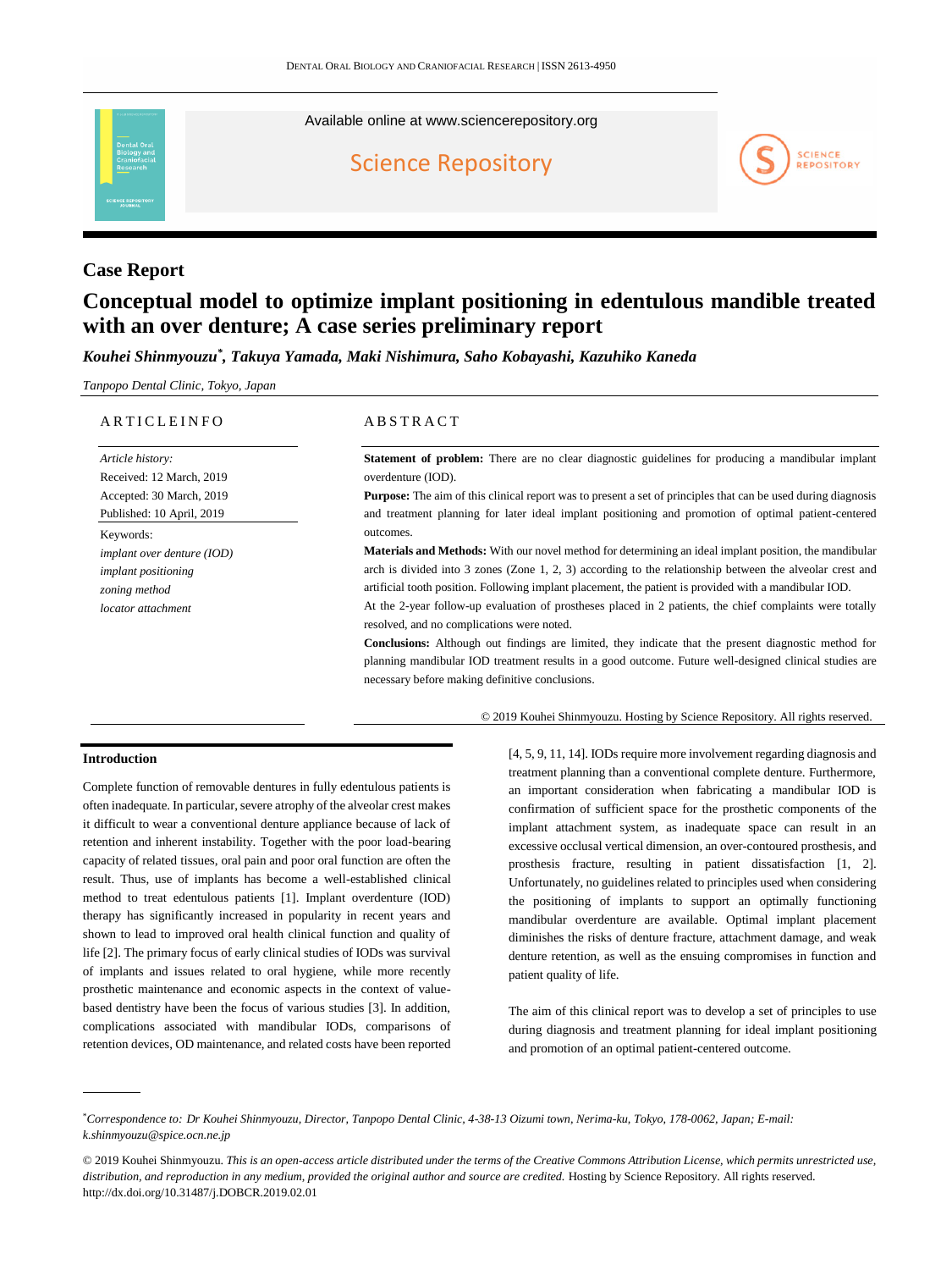Available online at [www.sciencerepository.org](https://www.sciencerepository.org/dental-oral-biology-and-craniofacial-research)

[Science Repository](https://www.sciencerepository.org/)



# **Case Report**

# **Conceptual model to optimize implant positioning in edentulous mandible treated with an over denture; A case series preliminary report**

*Kouhei Shinmyouzu\* , Takuya Yamada, Maki Nishimura, Saho Kobayashi, Kazuhiko Kaneda*

*Tanpopo Dental Clinic, Tokyo, Japan*

#### A R T I C L E I N F O

*Article history:*  Received: 12 March, 2019 Accepted: 30 March, 2019 Published: 10 April, 2019 Keywords: *implant over denture (IOD) implant positioning zoning method locator attachment*

# **ABSTRACT**

**Statement of problem:** There are no clear diagnostic guidelines for producing a mandibular implant overdenture (IOD).

**Purpose:** The aim of this clinical report was to present a set of principles that can be used during diagnosis and treatment planning for later ideal implant positioning and promotion of optimal patient-centered outcomes.

**Materials and Methods:** With our novel method for determining an ideal implant position, the mandibular arch is divided into 3 zones (Zone 1, 2, 3) according to the relationship between the alveolar crest and artificial tooth position. Following implant placement, the patient is provided with a mandibular IOD.

At the 2-year follow-up evaluation of prostheses placed in 2 patients, the chief complaints were totally resolved, and no complications were noted.

**Conclusions:** Although out findings are limited, they indicate that the present diagnostic method for planning mandibular IOD treatment results in a good outcome. Future well-designed clinical studies are necessary before making definitive conclusions.

© 2019 Kouhei Shinmyouzu. Hosting by Science Repository. All rights reserved.

#### **Introduction**

Complete function of removable dentures in fully edentulous patients is often inadequate. In particular, severe atrophy of the alveolar crest makes it difficult to wear a conventional denture appliance because of lack of retention and inherent instability. Together with the poor load-bearing capacity of related tissues, oral pain and poor oral function are often the result. Thus, use of implants has become a well-established clinical method to treat edentulous patients [1]. Implant overdenture (IOD) therapy has significantly increased in popularity in recent years and shown to lead to improved oral health clinical function and quality of life [2]. The primary focus of early clinical studies of IODs was survival of implants and issues related to oral hygiene, while more recently prosthetic maintenance and economic aspects in the context of valuebased dentistry have been the focus of various studies [3]. In addition, complications associated with mandibular IODs, comparisons of retention devices, OD maintenance, and related costs have been reported

[4, 5, 9, 11, 14]. IODs require more involvement regarding diagnosis and treatment planning than a conventional complete denture. Furthermore, an important consideration when fabricating a mandibular IOD is confirmation of sufficient space for the prosthetic components of the implant attachment system, as inadequate space can result in an excessive occlusal vertical dimension, an over-contoured prosthesis, and prosthesis fracture, resulting in patient dissatisfaction [1, 2]. Unfortunately, no guidelines related to principles used when considering the positioning of implants to support an optimally functioning mandibular overdenture are available. Optimal implant placement diminishes the risks of denture fracture, attachment damage, and weak denture retention, as well as the ensuing compromises in function and patient quality of life.

The aim of this clinical report was to develop a set of principles to use during diagnosis and treatment planning for ideal implant positioning and promotion of an optimal patient-centered outcome.

<sup>\*</sup>*Correspondence to: Dr Kouhei Shinmyouzu, Director, Tanpopo Dental Clinic, 4-38-13 Oizumi town, Nerima-ku, Tokyo, 178-0062, Japan; E-mail: [k.shinmyouzu@spice.ocn.ne.jp](mailto:k.shinmyouzu@spice.ocn.ne.jp)*

<sup>© 2019</sup> Kouhei Shinmyouzu. *This is an open-access article distributed under the terms of the Creative Commons Attribution License, which permits unrestricted use, distribution, and reproduction in any medium, provided the original author and source are credited.* Hosting by Science Repository. All rights reserved. http://dx.doi.org/10.31487/j.DOBCR.2019.02.01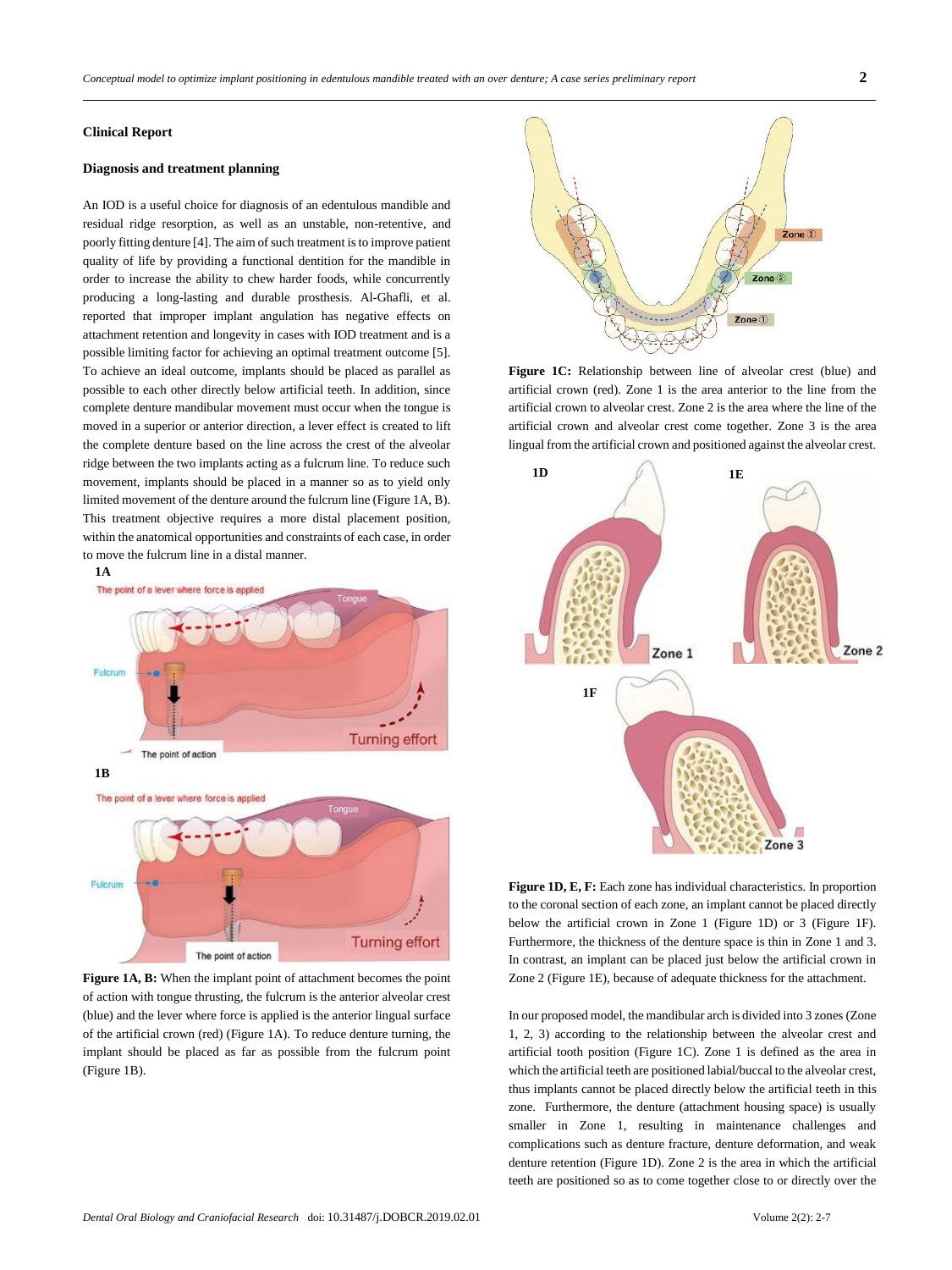#### **Clinical Report**

#### **Diagnosis and treatment planning**

An IOD is a useful choice for diagnosis of an edentulous mandible and residual ridge resorption, as well as an unstable, non-retentive, and poorly fitting denture [4]. The aim of such treatment is to improve patient quality of life by providing a functional dentition for the mandible in order to increase the ability to chew harder foods, while concurrently producing a long-lasting and durable prosthesis. Al-Ghafli, et al. reported that improper implant angulation has negative effects on attachment retention and longevity in cases with IOD treatment and is a possible limiting factor for achieving an optimal treatment outcome [5]. To achieve an ideal outcome, implants should be placed as parallel as possible to each other directly below artificial teeth. In addition, since complete denture mandibular movement must occur when the tongue is moved in a superior or anterior direction, a lever effect is created to lift the complete denture based on the line across the crest of the alveolar ridge between the two implants acting as a fulcrum line. To reduce such movement, implants should be placed in a manner so as to yield only limited movement of the denture around the fulcrum line (Figure 1A, B). This treatment objective requires a more distal placement position, within the anatomical opportunities and constraints of each case, in order to move the fulcrum line in a distal manner.



**Figure 1A, B:** When the implant point of attachment becomes the point of action with tongue thrusting, the fulcrum is the anterior alveolar crest (blue) and the lever where force is applied is the anterior lingual surface of the artificial crown (red) (Figure 1A). To reduce denture turning, the implant should be placed as far as possible from the fulcrum point (Figure 1B).



**Figure 1C:** Relationship between line of alveolar crest (blue) and artificial crown (red). Zone 1 is the area anterior to the line from the artificial crown to alveolar crest. Zone 2 is the area where the line of the artificial crown and alveolar crest come together. Zone 3 is the area lingual from the artificial crown and positioned against the alveolar crest.



**Figure 1D, E, F:** Each zone has individual characteristics. In proportion to the coronal section of each zone, an implant cannot be placed directly below the artificial crown in Zone 1 (Figure 1D) or 3 (Figure 1F). Furthermore, the thickness of the denture space is thin in Zone 1 and 3. In contrast, an implant can be placed just below the artificial crown in Zone 2 (Figure 1E), because of adequate thickness for the attachment.

In our proposed model, the mandibular arch is divided into 3 zones (Zone 1, 2, 3) according to the relationship between the alveolar crest and artificial tooth position (Figure 1C). Zone 1 is defined as the area in which the artificial teeth are positioned labial/buccal to the alveolar crest, thus implants cannot be placed directly below the artificial teeth in this zone. Furthermore, the denture (attachment housing space) is usually smaller in Zone 1, resulting in maintenance challenges and complications such as denture fracture, denture deformation, and weak denture retention (Figure 1D). Zone 2 is the area in which the artificial teeth are positioned so as to come together close to or directly over the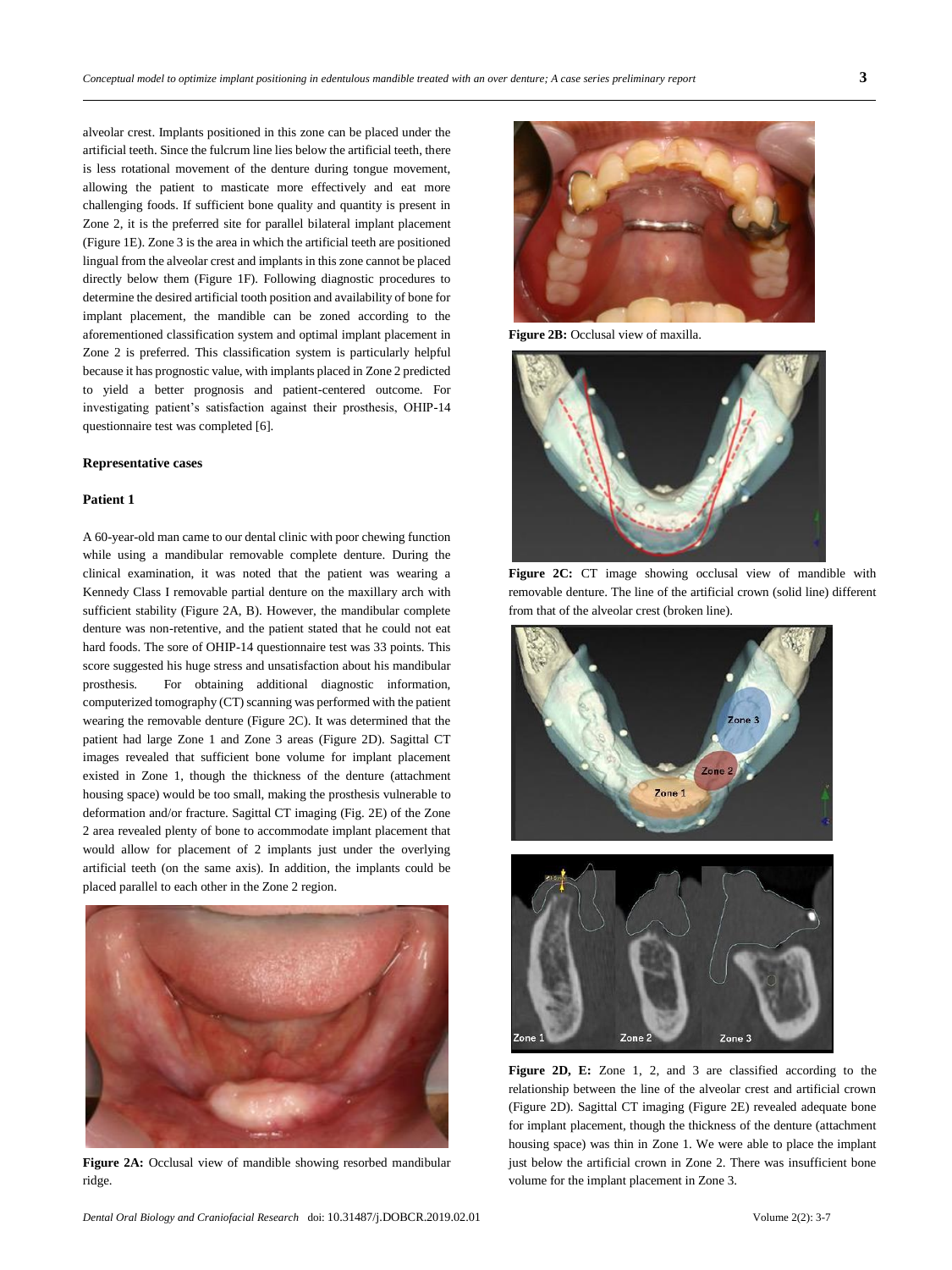alveolar crest. Implants positioned in this zone can be placed under the artificial teeth. Since the fulcrum line lies below the artificial teeth, there is less rotational movement of the denture during tongue movement, allowing the patient to masticate more effectively and eat more challenging foods. If sufficient bone quality and quantity is present in Zone 2, it is the preferred site for parallel bilateral implant placement (Figure 1E). Zone 3 is the area in which the artificial teeth are positioned lingual from the alveolar crest and implants in this zone cannot be placed directly below them (Figure 1F). Following diagnostic procedures to determine the desired artificial tooth position and availability of bone for implant placement, the mandible can be zoned according to the aforementioned classification system and optimal implant placement in Zone 2 is preferred. This classification system is particularly helpful because it has prognostic value, with implants placed in Zone 2 predicted to yield a better prognosis and patient-centered outcome. For investigating patient's satisfaction against their prosthesis, OHIP-14 questionnaire test was completed [6].

#### **Representative cases**

#### **Patient 1**

A 60-year-old man came to our dental clinic with poor chewing function while using a mandibular removable complete denture. During the clinical examination, it was noted that the patient was wearing a Kennedy Class I removable partial denture on the maxillary arch with sufficient stability (Figure 2A, B). However, the mandibular complete denture was non-retentive, and the patient stated that he could not eat hard foods. The sore of OHIP-14 questionnaire test was 33 points. This score suggested his huge stress and unsatisfaction about his mandibular prosthesis. For obtaining additional diagnostic information, computerized tomography (CT) scanning was performed with the patient wearing the removable denture (Figure 2C). It was determined that the patient had large Zone 1 and Zone 3 areas (Figure 2D). Sagittal CT images revealed that sufficient bone volume for implant placement existed in Zone 1, though the thickness of the denture (attachment housing space) would be too small, making the prosthesis vulnerable to deformation and/or fracture. Sagittal CT imaging (Fig. 2E) of the Zone 2 area revealed plenty of bone to accommodate implant placement that would allow for placement of 2 implants just under the overlying artificial teeth (on the same axis). In addition, the implants could be placed parallel to each other in the Zone 2 region.



**Figure 2A:** Occlusal view of mandible showing resorbed mandibular ridge.



**Figure 2B:** Occlusal view of maxilla.









Figure 2D, E: Zone 1, 2, and 3 are classified according to the relationship between the line of the alveolar crest and artificial crown (Figure 2D). Sagittal CT imaging (Figure 2E) revealed adequate bone for implant placement, though the thickness of the denture (attachment housing space) was thin in Zone 1. We were able to place the implant just below the artificial crown in Zone 2. There was insufficient bone volume for the implant placement in Zone 3.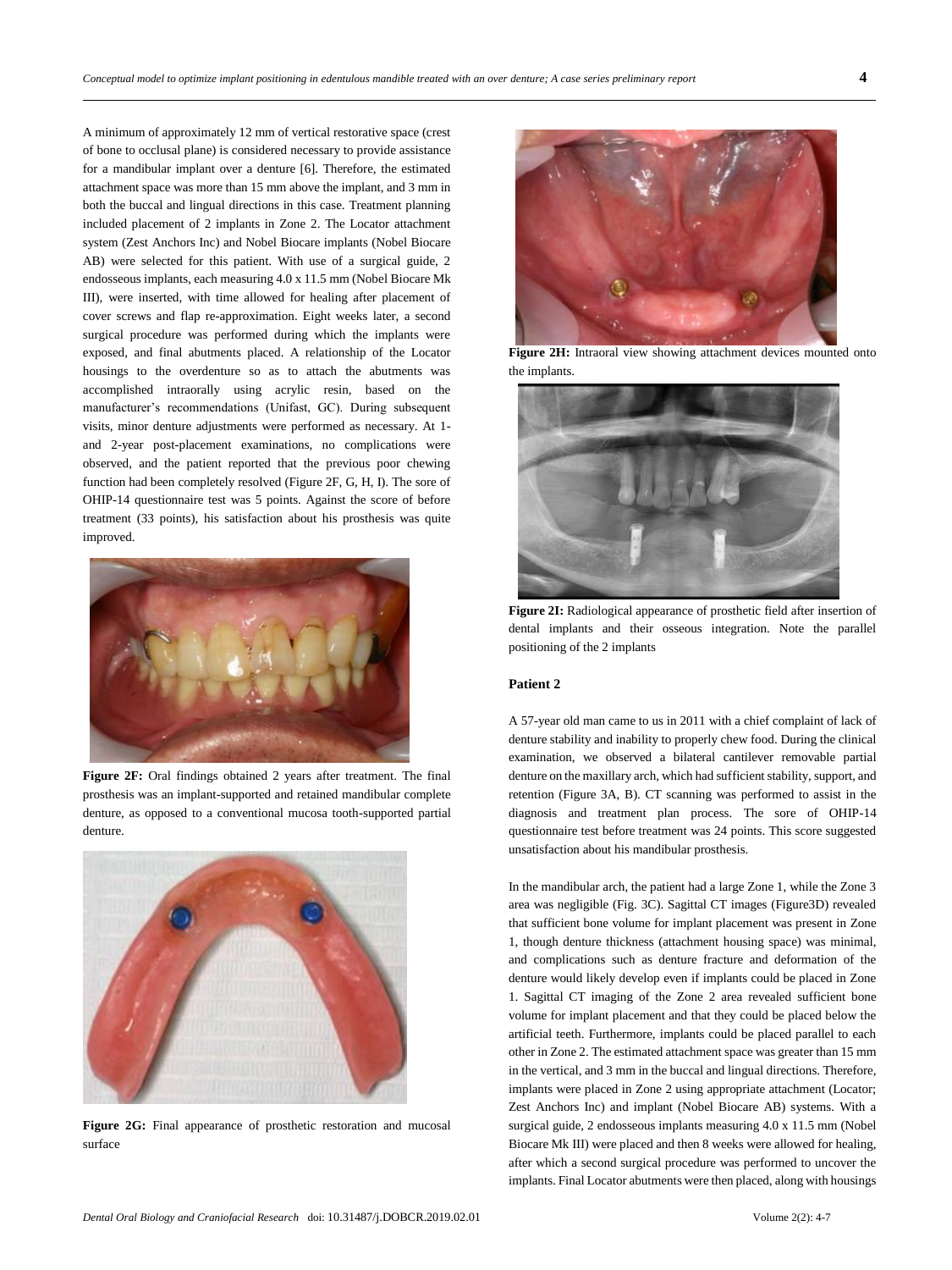A minimum of approximately 12 mm of vertical restorative space (crest of bone to occlusal plane) is considered necessary to provide assistance for a mandibular implant over a denture [6]. Therefore, the estimated attachment space was more than 15 mm above the implant, and 3 mm in both the buccal and lingual directions in this case. Treatment planning included placement of 2 implants in Zone 2. The Locator attachment system (Zest Anchors Inc) and Nobel Biocare implants (Nobel Biocare AB) were selected for this patient. With use of a surgical guide, 2 endosseous implants, each measuring 4.0 x 11.5 mm (Nobel Biocare Mk III), were inserted, with time allowed for healing after placement of cover screws and flap re-approximation. Eight weeks later, a second surgical procedure was performed during which the implants were exposed, and final abutments placed. A relationship of the Locator housings to the overdenture so as to attach the abutments was accomplished intraorally using acrylic resin, based on the manufacturer's recommendations (Unifast, GC). During subsequent visits, minor denture adjustments were performed as necessary. At 1 and 2-year post-placement examinations, no complications were observed, and the patient reported that the previous poor chewing function had been completely resolved (Figure 2F, G, H, I). The sore of OHIP-14 questionnaire test was 5 points. Against the score of before treatment (33 points), his satisfaction about his prosthesis was quite improved.



**Figure 2F:** Oral findings obtained 2 years after treatment. The final prosthesis was an implant-supported and retained mandibular complete denture, as opposed to a conventional mucosa tooth-supported partial denture.



Figure 2G: Final appearance of prosthetic restoration and mucosal surface



Figure 2H: Intraoral view showing attachment devices mounted onto the implants.



**Figure 2I:** Radiological appearance of prosthetic field after insertion of dental implants and their osseous integration. Note the parallel positioning of the 2 implants

### **Patient 2**

A 57-year old man came to us in 2011 with a chief complaint of lack of denture stability and inability to properly chew food. During the clinical examination, we observed a bilateral cantilever removable partial denture on the maxillary arch, which had sufficient stability, support, and retention (Figure 3A, B). CT scanning was performed to assist in the diagnosis and treatment plan process. The sore of OHIP-14 questionnaire test before treatment was 24 points. This score suggested unsatisfaction about his mandibular prosthesis.

In the mandibular arch, the patient had a large Zone 1, while the Zone 3 area was negligible (Fig. 3C). Sagittal CT images (Figure3D) revealed that sufficient bone volume for implant placement was present in Zone 1, though denture thickness (attachment housing space) was minimal, and complications such as denture fracture and deformation of the denture would likely develop even if implants could be placed in Zone 1. Sagittal CT imaging of the Zone 2 area revealed sufficient bone volume for implant placement and that they could be placed below the artificial teeth. Furthermore, implants could be placed parallel to each other in Zone 2. The estimated attachment space was greater than 15 mm in the vertical, and 3 mm in the buccal and lingual directions. Therefore, implants were placed in Zone 2 using appropriate attachment (Locator; Zest Anchors Inc) and implant (Nobel Biocare AB) systems. With a surgical guide, 2 endosseous implants measuring 4.0 x 11.5 mm (Nobel Biocare Mk III) were placed and then 8 weeks were allowed for healing, after which a second surgical procedure was performed to uncover the implants. Final Locator abutments were then placed, along with housings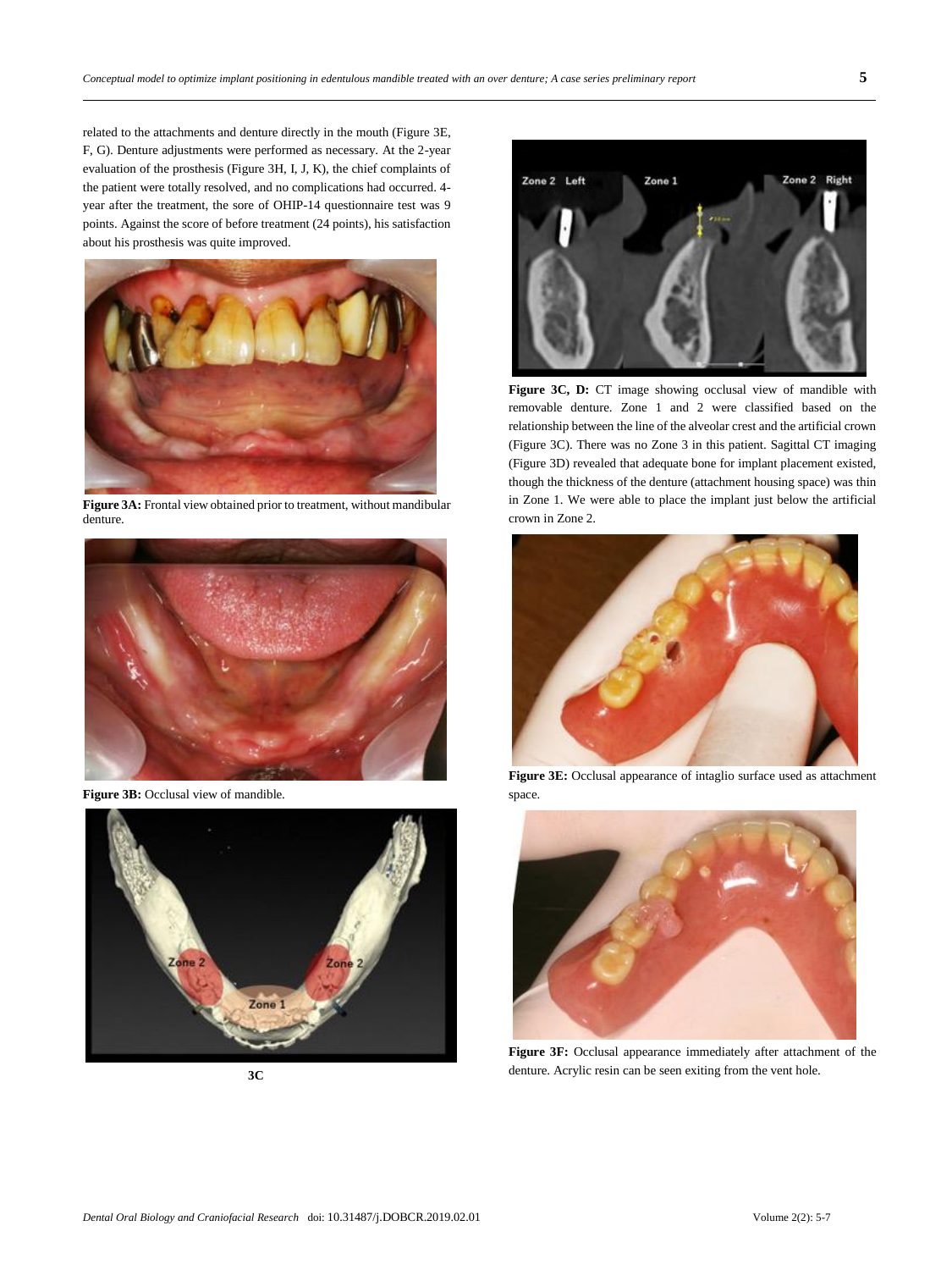related to the attachments and denture directly in the mouth (Figure 3E, F, G). Denture adjustments were performed as necessary. At the 2-year evaluation of the prosthesis (Figure 3H, I, J, K), the chief complaints of the patient were totally resolved, and no complications had occurred. 4 year after the treatment, the sore of OHIP-14 questionnaire test was 9 points. Against the score of before treatment (24 points), his satisfaction about his prosthesis was quite improved.



**Figure 3A:** Frontal view obtained prior to treatment, without mandibular denture.



Figure 3B: Occlusal view of mandible.



**3C**



Figure 3C, D: CT image showing occlusal view of mandible with removable denture. Zone 1 and 2 were classified based on the relationship between the line of the alveolar crest and the artificial crown (Figure 3C). There was no Zone 3 in this patient. Sagittal CT imaging (Figure 3D) revealed that adequate bone for implant placement existed, though the thickness of the denture (attachment housing space) was thin in Zone 1. We were able to place the implant just below the artificial crown in Zone 2.



**Figure 3E:** Occlusal appearance of intaglio surface used as attachment space.



**Figure 3F:** Occlusal appearance immediately after attachment of the denture. Acrylic resin can be seen exiting from the vent hole.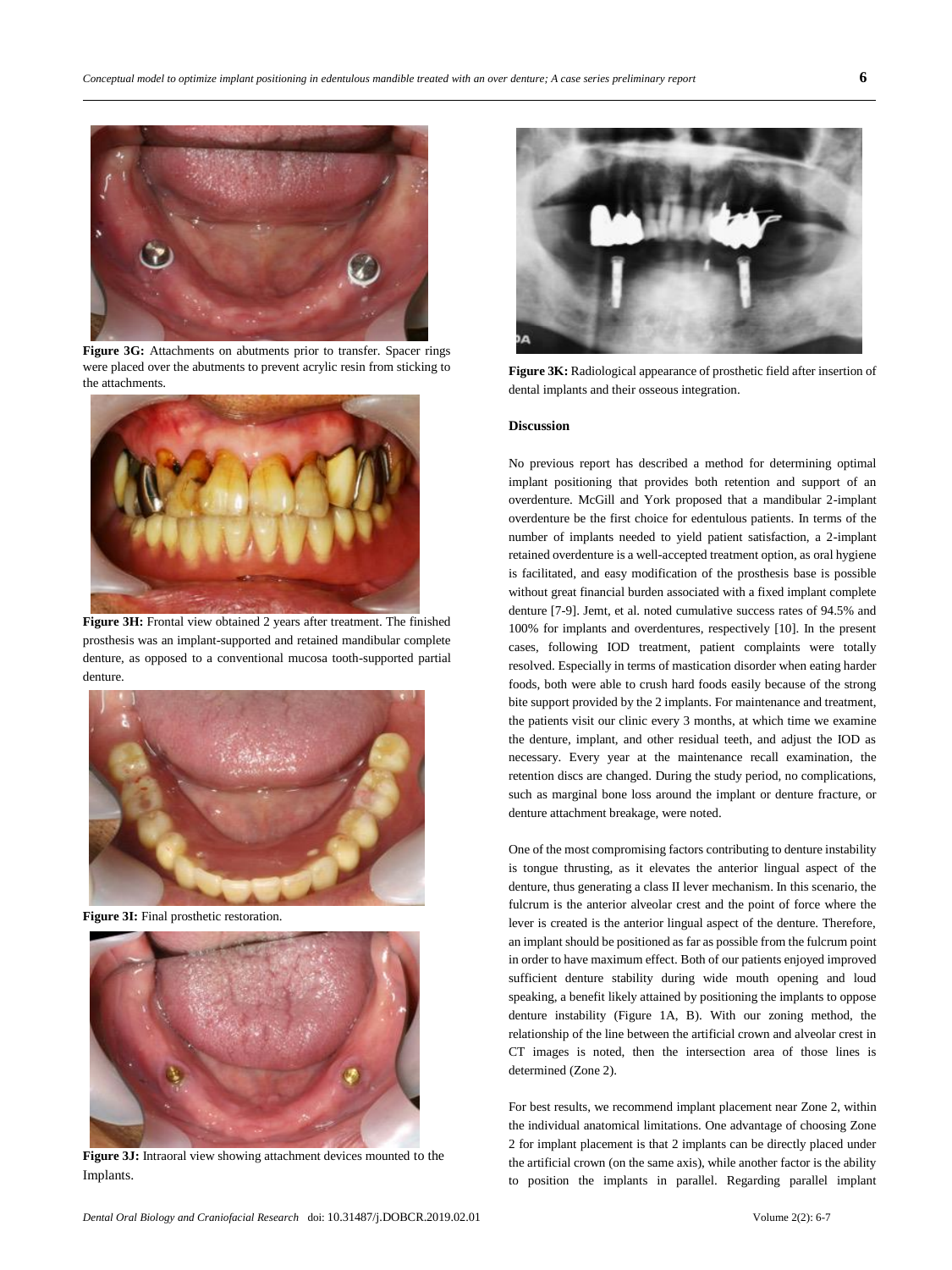

Figure 3G: Attachments on abutments prior to transfer. Spacer rings were placed over the abutments to prevent acrylic resin from sticking to the attachments.



**Figure 3H:** Frontal view obtained 2 years after treatment. The finished prosthesis was an implant-supported and retained mandibular complete denture, as opposed to a conventional mucosa tooth-supported partial denture.



**Figure 3I:** Final prosthetic restoration.



**Figure 3J:** Intraoral view showing attachment devices mounted to the Implants.



**Figure 3K:** Radiological appearance of prosthetic field after insertion of dental implants and their osseous integration.

#### **Discussion**

No previous report has described a method for determining optimal implant positioning that provides both retention and support of an overdenture. McGill and York proposed that a mandibular 2-implant overdenture be the first choice for edentulous patients. In terms of the number of implants needed to yield patient satisfaction, a 2-implant retained overdenture is a well-accepted treatment option, as oral hygiene is facilitated, and easy modification of the prosthesis base is possible without great financial burden associated with a fixed implant complete denture [7-9]. Jemt, et al. noted cumulative success rates of 94.5% and 100% for implants and overdentures, respectively [10]. In the present cases, following IOD treatment, patient complaints were totally resolved. Especially in terms of mastication disorder when eating harder foods, both were able to crush hard foods easily because of the strong bite support provided by the 2 implants. For maintenance and treatment, the patients visit our clinic every 3 months, at which time we examine the denture, implant, and other residual teeth, and adjust the IOD as necessary. Every year at the maintenance recall examination, the retention discs are changed. During the study period, no complications, such as marginal bone loss around the implant or denture fracture, or denture attachment breakage, were noted.

One of the most compromising factors contributing to denture instability is tongue thrusting, as it elevates the anterior lingual aspect of the denture, thus generating a class II lever mechanism. In this scenario, the fulcrum is the anterior alveolar crest and the point of force where the lever is created is the anterior lingual aspect of the denture. Therefore, an implant should be positioned as far as possible from the fulcrum point in order to have maximum effect. Both of our patients enjoyed improved sufficient denture stability during wide mouth opening and loud speaking, a benefit likely attained by positioning the implants to oppose denture instability (Figure 1A, B). With our zoning method, the relationship of the line between the artificial crown and alveolar crest in CT images is noted, then the intersection area of those lines is determined (Zone 2).

For best results, we recommend implant placement near Zone 2, within the individual anatomical limitations. One advantage of choosing Zone 2 for implant placement is that 2 implants can be directly placed under the artificial crown (on the same axis), while another factor is the ability to position the implants in parallel. Regarding parallel implant